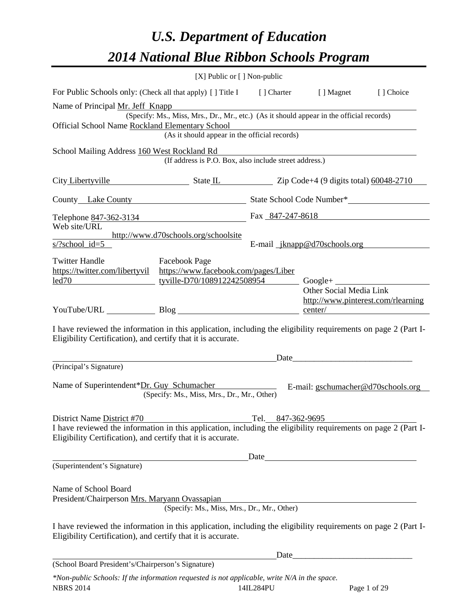# *U.S. Department of Education 2014 National Blue Ribbon Schools Program*

|                                                                                                                                                                                | [X] Public or [] Non-public                                                              |  |                                               |           |  |  |  |  |
|--------------------------------------------------------------------------------------------------------------------------------------------------------------------------------|------------------------------------------------------------------------------------------|--|-----------------------------------------------|-----------|--|--|--|--|
| For Public Schools only: (Check all that apply) [] Title I [] Charter [] Magnet                                                                                                |                                                                                          |  |                                               | [] Choice |  |  |  |  |
| Name of Principal Mr. Jeff Knapp                                                                                                                                               | (Specify: Ms., Miss, Mrs., Dr., Mr., etc.) (As it should appear in the official records) |  |                                               |           |  |  |  |  |
| Official School Name Rockland Elementary School<br>Elementary School<br>(As it should appear in the official records)                                                          |                                                                                          |  |                                               |           |  |  |  |  |
| School Mailing Address 160 West Rockland Rd                                                                                                                                    | (If address is P.O. Box, also include street address.)                                   |  |                                               |           |  |  |  |  |
| City Libertyville State L State L Zip Code+4 (9 digits total) 60048-2710                                                                                                       |                                                                                          |  |                                               |           |  |  |  |  |
|                                                                                                                                                                                | County Lake County State School Code Number*                                             |  |                                               |           |  |  |  |  |
| Telephone 847-362-3134<br>Web site/URL                                                                                                                                         |                                                                                          |  | Fax 847-247-8618                              |           |  |  |  |  |
| $s$ /?school id=5                                                                                                                                                              | http://www.d70schools.org/schoolsite                                                     |  | E-mail jknapp@d70schools.org                  |           |  |  |  |  |
| <b>Twitter Handle</b><br>https://twitter.com/libertyvil https://www.facebook.com/pages/Liber<br><u>led70 			 tyville-D70/108912242508954</u> Google+                           | <b>Exercise Facebook Page</b>                                                            |  | Other Social Media Link                       |           |  |  |  |  |
| YouTube/URL Blog                                                                                                                                                               |                                                                                          |  | http://www.pinterest.com/rlearning<br>center/ |           |  |  |  |  |
| I have reviewed the information in this application, including the eligibility requirements on page 2 (Part I-<br>Eligibility Certification), and certify that it is accurate. |                                                                                          |  |                                               |           |  |  |  |  |
|                                                                                                                                                                                |                                                                                          |  | Date                                          |           |  |  |  |  |
| (Principal's Signature)                                                                                                                                                        |                                                                                          |  |                                               |           |  |  |  |  |
| Name of Superintendent*Dr. Guy Schumacher                                                                                                                                      | (Specify: Ms., Miss, Mrs., Dr., Mr., Other)                                              |  | E-mail: gschumacher@d70schools.org            |           |  |  |  |  |
| District Name District #70 Tel. 847-362-9695<br>I have reviewed the information in this application, including the eligibility requirements on page 2 (Part I-                 |                                                                                          |  |                                               |           |  |  |  |  |
| Eligibility Certification), and certify that it is accurate.                                                                                                                   |                                                                                          |  |                                               |           |  |  |  |  |
|                                                                                                                                                                                |                                                                                          |  |                                               |           |  |  |  |  |
| (Superintendent's Signature)                                                                                                                                                   |                                                                                          |  |                                               |           |  |  |  |  |
| Name of School Board<br>President/Chairperson Mrs. Maryann Ovassapian                                                                                                          | yann Ovassapian<br>(Specify: Ms., Miss, Mrs., Dr., Mr., Other)                           |  |                                               |           |  |  |  |  |
|                                                                                                                                                                                |                                                                                          |  |                                               |           |  |  |  |  |
| I have reviewed the information in this application, including the eligibility requirements on page 2 (Part I-<br>Eligibility Certification), and certify that it is accurate. |                                                                                          |  |                                               |           |  |  |  |  |
|                                                                                                                                                                                |                                                                                          |  |                                               |           |  |  |  |  |
| (School Board President's/Chairperson's Signature)                                                                                                                             |                                                                                          |  |                                               |           |  |  |  |  |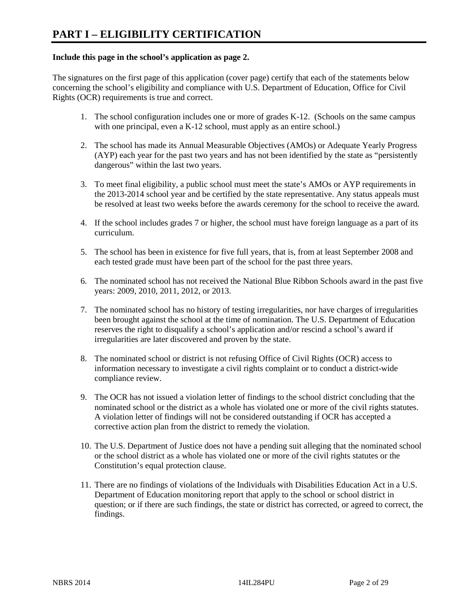#### **Include this page in the school's application as page 2.**

The signatures on the first page of this application (cover page) certify that each of the statements below concerning the school's eligibility and compliance with U.S. Department of Education, Office for Civil Rights (OCR) requirements is true and correct.

- 1. The school configuration includes one or more of grades K-12. (Schools on the same campus with one principal, even a K-12 school, must apply as an entire school.)
- 2. The school has made its Annual Measurable Objectives (AMOs) or Adequate Yearly Progress (AYP) each year for the past two years and has not been identified by the state as "persistently dangerous" within the last two years.
- 3. To meet final eligibility, a public school must meet the state's AMOs or AYP requirements in the 2013-2014 school year and be certified by the state representative. Any status appeals must be resolved at least two weeks before the awards ceremony for the school to receive the award.
- 4. If the school includes grades 7 or higher, the school must have foreign language as a part of its curriculum.
- 5. The school has been in existence for five full years, that is, from at least September 2008 and each tested grade must have been part of the school for the past three years.
- 6. The nominated school has not received the National Blue Ribbon Schools award in the past five years: 2009, 2010, 2011, 2012, or 2013.
- 7. The nominated school has no history of testing irregularities, nor have charges of irregularities been brought against the school at the time of nomination. The U.S. Department of Education reserves the right to disqualify a school's application and/or rescind a school's award if irregularities are later discovered and proven by the state.
- 8. The nominated school or district is not refusing Office of Civil Rights (OCR) access to information necessary to investigate a civil rights complaint or to conduct a district-wide compliance review.
- 9. The OCR has not issued a violation letter of findings to the school district concluding that the nominated school or the district as a whole has violated one or more of the civil rights statutes. A violation letter of findings will not be considered outstanding if OCR has accepted a corrective action plan from the district to remedy the violation.
- 10. The U.S. Department of Justice does not have a pending suit alleging that the nominated school or the school district as a whole has violated one or more of the civil rights statutes or the Constitution's equal protection clause.
- 11. There are no findings of violations of the Individuals with Disabilities Education Act in a U.S. Department of Education monitoring report that apply to the school or school district in question; or if there are such findings, the state or district has corrected, or agreed to correct, the findings.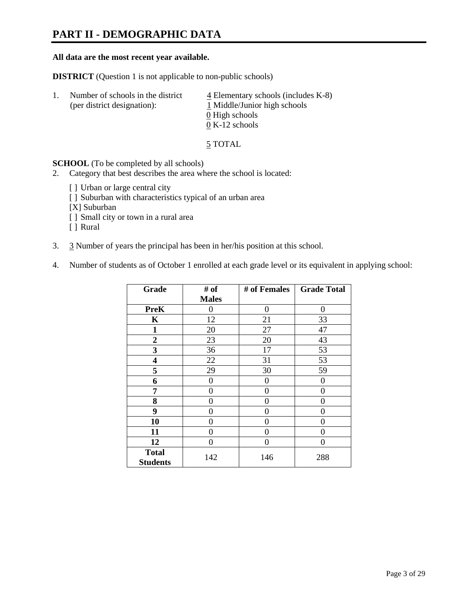# **PART II - DEMOGRAPHIC DATA**

#### **All data are the most recent year available.**

**DISTRICT** (Question 1 is not applicable to non-public schools)

| -1. | Number of schools in the district<br>(per district designation): | $\overline{4}$ Elementary schools (includes K-8)<br>1 Middle/Junior high schools<br>0 High schools |
|-----|------------------------------------------------------------------|----------------------------------------------------------------------------------------------------|
|     |                                                                  |                                                                                                    |
|     |                                                                  | $0 K-12$ schools                                                                                   |

5 TOTAL

**SCHOOL** (To be completed by all schools)

- 2. Category that best describes the area where the school is located:
	- [ ] Urban or large central city
	- [ ] Suburban with characteristics typical of an urban area
	- [X] Suburban
	- [ ] Small city or town in a rural area
	- [ ] Rural
- 3. 3 Number of years the principal has been in her/his position at this school.
- 4. Number of students as of October 1 enrolled at each grade level or its equivalent in applying school:

| Grade                           | # of         | # of Females | <b>Grade Total</b> |
|---------------------------------|--------------|--------------|--------------------|
|                                 | <b>Males</b> |              |                    |
| <b>PreK</b>                     | 0            | $\theta$     | $\theta$           |
| K                               | 12           | 21           | 33                 |
| $\mathbf{1}$                    | 20           | 27           | 47                 |
| $\boldsymbol{2}$                | 23           | 20           | 43                 |
| 3                               | 36           | 17           | 53                 |
| 4                               | 22           | 31           | 53                 |
| 5                               | 29           | 30           | 59                 |
| 6                               | 0            | 0            | $\theta$           |
| 7                               | 0            | $\theta$     | 0                  |
| 8                               | 0            | 0            | 0                  |
| 9                               | 0            | $\theta$     | 0                  |
| 10                              | 0            | 0            | 0                  |
| 11                              | 0            | 0            | $\theta$           |
| 12                              | 0            | 0            | 0                  |
| <b>Total</b><br><b>Students</b> | 142          | 146          | 288                |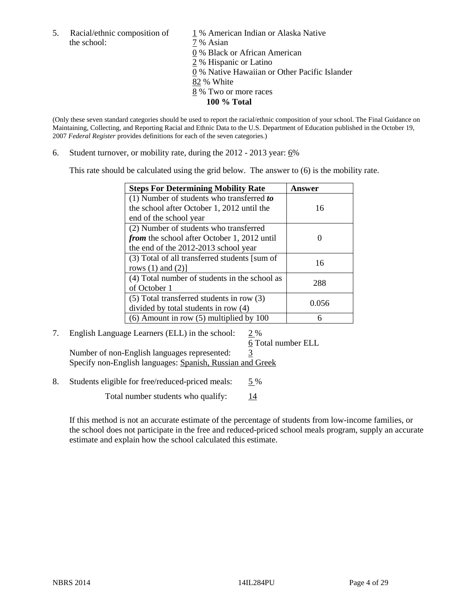5. Racial/ethnic composition of  $1\%$  American Indian or Alaska Native the school:  $7\%$  Asian

 0 % Black or African American 2 % Hispanic or Latino 0 % Native Hawaiian or Other Pacific Islander 82 % White 8 % Two or more races **100 % Total** 

(Only these seven standard categories should be used to report the racial/ethnic composition of your school. The Final Guidance on Maintaining, Collecting, and Reporting Racial and Ethnic Data to the U.S. Department of Education published in the October 19, 2007 *Federal Register* provides definitions for each of the seven categories.)

6. Student turnover, or mobility rate, during the  $2012 - 2013$  year:  $6\%$ 

This rate should be calculated using the grid below. The answer to (6) is the mobility rate.

| <b>Steps For Determining Mobility Rate</b>         | <b>Answer</b> |
|----------------------------------------------------|---------------|
| (1) Number of students who transferred to          |               |
| the school after October 1, 2012 until the         | 16            |
| end of the school year                             |               |
| (2) Number of students who transferred             |               |
| <i>from</i> the school after October 1, 2012 until |               |
| the end of the 2012-2013 school year               |               |
| (3) Total of all transferred students [sum of      | 16            |
| rows $(1)$ and $(2)$ ]                             |               |
| (4) Total number of students in the school as      | 288           |
| of October 1                                       |               |
| $(5)$ Total transferred students in row $(3)$      | 0.056         |
| divided by total students in row (4)               |               |
| $(6)$ Amount in row $(5)$ multiplied by 100        |               |

## 7. English Language Learners (ELL) in the school: 2 %

 6 Total number ELL Number of non-English languages represented: 3 Specify non-English languages: Spanish, Russian and Greek

8. Students eligible for free/reduced-priced meals: 5 %

Total number students who qualify:  $\frac{14}{14}$ 

If this method is not an accurate estimate of the percentage of students from low-income families, or the school does not participate in the free and reduced-priced school meals program, supply an accurate estimate and explain how the school calculated this estimate.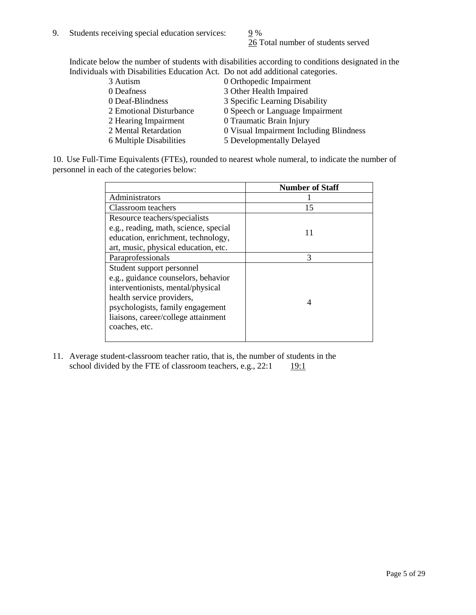26 Total number of students served

Indicate below the number of students with disabilities according to conditions designated in the Individuals with Disabilities Education Act. Do not add additional categories.

| 3 Autism                | 0 Orthopedic Impairment                 |
|-------------------------|-----------------------------------------|
| 0 Deafness              | 3 Other Health Impaired                 |
| 0 Deaf-Blindness        | 3 Specific Learning Disability          |
| 2 Emotional Disturbance | 0 Speech or Language Impairment         |
| 2 Hearing Impairment    | 0 Traumatic Brain Injury                |
| 2 Mental Retardation    | 0 Visual Impairment Including Blindness |
| 6 Multiple Disabilities | 5 Developmentally Delayed               |
|                         |                                         |

10. Use Full-Time Equivalents (FTEs), rounded to nearest whole numeral, to indicate the number of personnel in each of the categories below:

|                                       | <b>Number of Staff</b> |
|---------------------------------------|------------------------|
| Administrators                        |                        |
| Classroom teachers                    | 15                     |
| Resource teachers/specialists         |                        |
| e.g., reading, math, science, special | 11                     |
| education, enrichment, technology,    |                        |
| art, music, physical education, etc.  |                        |
| Paraprofessionals                     | 3                      |
| Student support personnel             |                        |
| e.g., guidance counselors, behavior   |                        |
| interventionists, mental/physical     |                        |
| health service providers,             |                        |
| psychologists, family engagement      |                        |
| liaisons, career/college attainment   |                        |
| coaches, etc.                         |                        |
|                                       |                        |

11. Average student-classroom teacher ratio, that is, the number of students in the school divided by the FTE of classroom teachers, e.g.,  $22:1$  19:1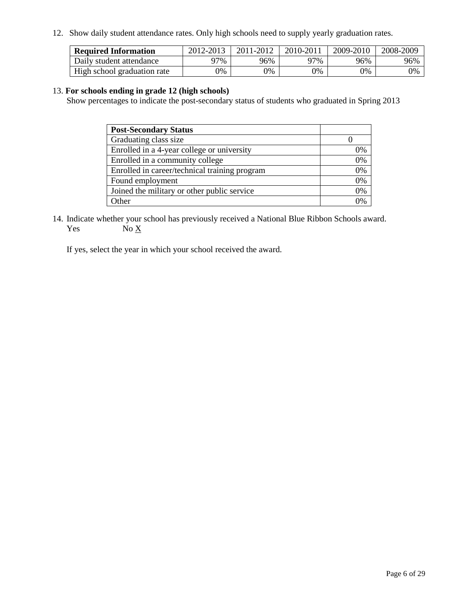12. Show daily student attendance rates. Only high schools need to supply yearly graduation rates.

| <b>Required Information</b> | 2012-2013 | 2011-2012 | 2010-2011 | 2009-2010 | 2008-2009 |
|-----------------------------|-----------|-----------|-----------|-----------|-----------|
| Daily student attendance    | 77%       | 96%       | 97%       | 96%       | 96%       |
| High school graduation rate | 9%        | 0%        | 0%        | 0%        | 0%        |

#### 13. **For schools ending in grade 12 (high schools)**

Show percentages to indicate the post-secondary status of students who graduated in Spring 2013

| <b>Post-Secondary Status</b>                  |    |
|-----------------------------------------------|----|
| Graduating class size                         |    |
| Enrolled in a 4-year college or university    | 0% |
| Enrolled in a community college               | 0% |
| Enrolled in career/technical training program | 0% |
| Found employment                              | 0% |
| Joined the military or other public service   | 0% |
| <b>Ther</b>                                   | 2% |

14. Indicate whether your school has previously received a National Blue Ribbon Schools award. Yes  $No \underline{X}$ 

If yes, select the year in which your school received the award.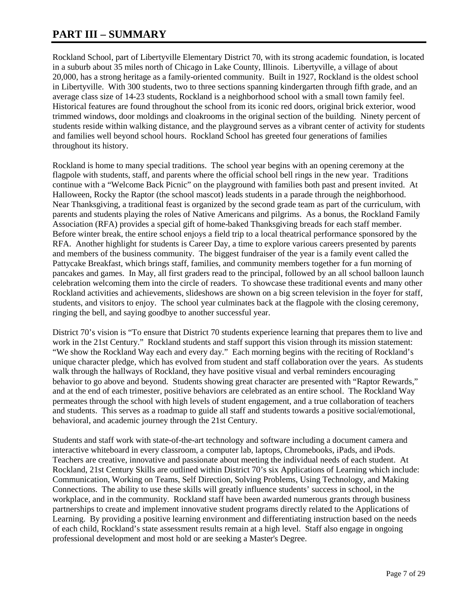# **PART III – SUMMARY**

Rockland School, part of Libertyville Elementary District 70, with its strong academic foundation, is located in a suburb about 35 miles north of Chicago in Lake County, Illinois. Libertyville, a village of about 20,000, has a strong heritage as a family-oriented community. Built in 1927, Rockland is the oldest school in Libertyville. With 300 students, two to three sections spanning kindergarten through fifth grade, and an average class size of 14-23 students, Rockland is a neighborhood school with a small town family feel. Historical features are found throughout the school from its iconic red doors, original brick exterior, wood trimmed windows, door moldings and cloakrooms in the original section of the building. Ninety percent of students reside within walking distance, and the playground serves as a vibrant center of activity for students and families well beyond school hours. Rockland School has greeted four generations of families throughout its history.

Rockland is home to many special traditions. The school year begins with an opening ceremony at the flagpole with students, staff, and parents where the official school bell rings in the new year. Traditions continue with a "Welcome Back Picnic" on the playground with families both past and present invited. At Halloween, Rocky the Raptor (the school mascot) leads students in a parade through the neighborhood. Near Thanksgiving, a traditional feast is organized by the second grade team as part of the curriculum, with parents and students playing the roles of Native Americans and pilgrims. As a bonus, the Rockland Family Association (RFA) provides a special gift of home-baked Thanksgiving breads for each staff member. Before winter break, the entire school enjoys a field trip to a local theatrical performance sponsored by the RFA. Another highlight for students is Career Day, a time to explore various careers presented by parents and members of the business community. The biggest fundraiser of the year is a family event called the Pattycake Breakfast, which brings staff, families, and community members together for a fun morning of pancakes and games. In May, all first graders read to the principal, followed by an all school balloon launch celebration welcoming them into the circle of readers. To showcase these traditional events and many other Rockland activities and achievements, slideshows are shown on a big screen television in the foyer for staff, students, and visitors to enjoy. The school year culminates back at the flagpole with the closing ceremony, ringing the bell, and saying goodbye to another successful year.

District 70's vision is "To ensure that District 70 students experience learning that prepares them to live and work in the 21st Century." Rockland students and staff support this vision through its mission statement: "We show the Rockland Way each and every day." Each morning begins with the reciting of Rockland's unique character pledge, which has evolved from student and staff collaboration over the years. As students walk through the hallways of Rockland, they have positive visual and verbal reminders encouraging behavior to go above and beyond. Students showing great character are presented with "Raptor Rewards," and at the end of each trimester, positive behaviors are celebrated as an entire school. The Rockland Way permeates through the school with high levels of student engagement, and a true collaboration of teachers and students. This serves as a roadmap to guide all staff and students towards a positive social/emotional, behavioral, and academic journey through the 21st Century.

Students and staff work with state-of-the-art technology and software including a document camera and interactive whiteboard in every classroom, a computer lab, laptops, Chromebooks, iPads, and iPods. Teachers are creative, innovative and passionate about meeting the individual needs of each student. At Rockland, 21st Century Skills are outlined within District 70's six Applications of Learning which include: Communication, Working on Teams, Self Direction, Solving Problems, Using Technology, and Making Connections. The ability to use these skills will greatly influence students' success in school, in the workplace, and in the community. Rockland staff have been awarded numerous grants through business partnerships to create and implement innovative student programs directly related to the Applications of Learning. By providing a positive learning environment and differentiating instruction based on the needs of each child, Rockland's state assessment results remain at a high level. Staff also engage in ongoing professional development and most hold or are seeking a Master's Degree.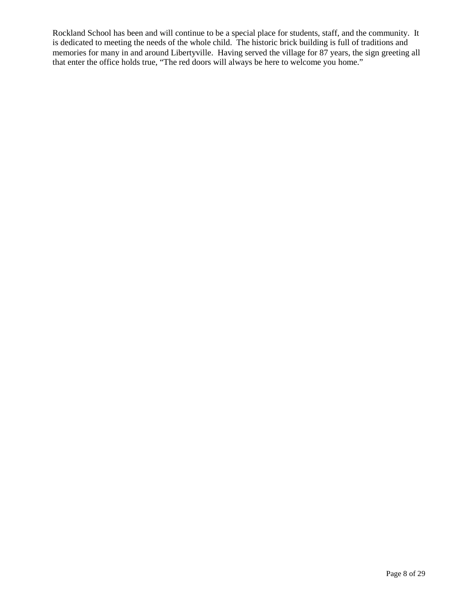Rockland School has been and will continue to be a special place for students, staff, and the community. It is dedicated to meeting the needs of the whole child. The historic brick building is full of traditions and memories for many in and around Libertyville. Having served the village for 87 years, the sign greeting all that enter the office holds true, "The red doors will always be here to welcome you home."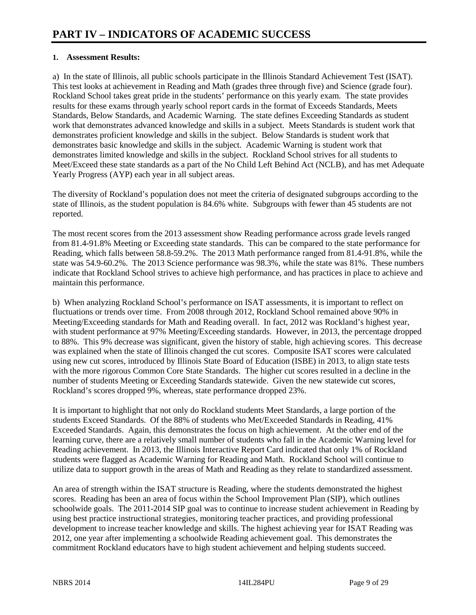#### **1. Assessment Results:**

a) In the state of Illinois, all public schools participate in the Illinois Standard Achievement Test (ISAT). This test looks at achievement in Reading and Math (grades three through five) and Science (grade four). Rockland School takes great pride in the students' performance on this yearly exam. The state provides results for these exams through yearly school report cards in the format of Exceeds Standards, Meets Standards, Below Standards, and Academic Warning. The state defines Exceeding Standards as student work that demonstrates advanced knowledge and skills in a subject. Meets Standards is student work that demonstrates proficient knowledge and skills in the subject. Below Standards is student work that demonstrates basic knowledge and skills in the subject. Academic Warning is student work that demonstrates limited knowledge and skills in the subject. Rockland School strives for all students to Meet/Exceed these state standards as a part of the No Child Left Behind Act (NCLB), and has met Adequate Yearly Progress (AYP) each year in all subject areas.

The diversity of Rockland's population does not meet the criteria of designated subgroups according to the state of Illinois, as the student population is 84.6% white. Subgroups with fewer than 45 students are not reported.

The most recent scores from the 2013 assessment show Reading performance across grade levels ranged from 81.4-91.8% Meeting or Exceeding state standards. This can be compared to the state performance for Reading, which falls between 58.8-59.2%. The 2013 Math performance ranged from 81.4-91.8%, while the state was 54.9-60.2%. The 2013 Science performance was 98.3%, while the state was 81%. These numbers indicate that Rockland School strives to achieve high performance, and has practices in place to achieve and maintain this performance.

b) When analyzing Rockland School's performance on ISAT assessments, it is important to reflect on fluctuations or trends over time. From 2008 through 2012, Rockland School remained above 90% in Meeting/Exceeding standards for Math and Reading overall. In fact, 2012 was Rockland's highest year, with student performance at 97% Meeting/Exceeding standards. However, in 2013, the percentage dropped to 88%. This 9% decrease was significant, given the history of stable, high achieving scores. This decrease was explained when the state of Illinois changed the cut scores. Composite ISAT scores were calculated using new cut scores, introduced by Illinois State Board of Education (ISBE) in 2013, to align state tests with the more rigorous Common Core State Standards. The higher cut scores resulted in a decline in the number of students Meeting or Exceeding Standards statewide. Given the new statewide cut scores, Rockland's scores dropped 9%, whereas, state performance dropped 23%.

It is important to highlight that not only do Rockland students Meet Standards, a large portion of the students Exceed Standards. Of the 88% of students who Met/Exceeded Standards in Reading, 41% Exceeded Standards. Again, this demonstrates the focus on high achievement. At the other end of the learning curve, there are a relatively small number of students who fall in the Academic Warning level for Reading achievement. In 2013, the Illinois Interactive Report Card indicated that only 1% of Rockland students were flagged as Academic Warning for Reading and Math. Rockland School will continue to utilize data to support growth in the areas of Math and Reading as they relate to standardized assessment.

An area of strength within the ISAT structure is Reading, where the students demonstrated the highest scores. Reading has been an area of focus within the School Improvement Plan (SIP), which outlines schoolwide goals. The 2011-2014 SIP goal was to continue to increase student achievement in Reading by using best practice instructional strategies, monitoring teacher practices, and providing professional development to increase teacher knowledge and skills. The highest achieving year for ISAT Reading was 2012, one year after implementing a schoolwide Reading achievement goal. This demonstrates the commitment Rockland educators have to high student achievement and helping students succeed.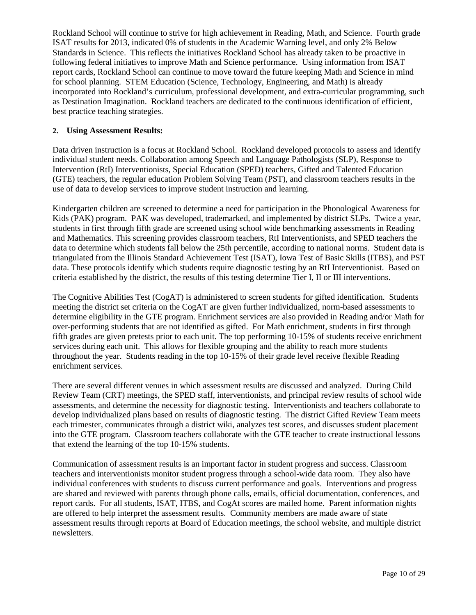Rockland School will continue to strive for high achievement in Reading, Math, and Science. Fourth grade ISAT results for 2013, indicated 0% of students in the Academic Warning level, and only 2% Below Standards in Science. This reflects the initiatives Rockland School has already taken to be proactive in following federal initiatives to improve Math and Science performance. Using information from ISAT report cards, Rockland School can continue to move toward the future keeping Math and Science in mind for school planning. STEM Education (Science, Technology, Engineering, and Math) is already incorporated into Rockland's curriculum, professional development, and extra-curricular programming, such as Destination Imagination. Rockland teachers are dedicated to the continuous identification of efficient, best practice teaching strategies.

#### **2. Using Assessment Results:**

Data driven instruction is a focus at Rockland School. Rockland developed protocols to assess and identify individual student needs. Collaboration among Speech and Language Pathologists (SLP), Response to Intervention (RtI) Interventionists, Special Education (SPED) teachers, Gifted and Talented Education (GTE) teachers, the regular education Problem Solving Team (PST), and classroom teachers results in the use of data to develop services to improve student instruction and learning.

Kindergarten children are screened to determine a need for participation in the Phonological Awareness for Kids (PAK) program. PAK was developed, trademarked, and implemented by district SLPs. Twice a year, students in first through fifth grade are screened using school wide benchmarking assessments in Reading and Mathematics. This screening provides classroom teachers, RtI Interventionists, and SPED teachers the data to determine which students fall below the 25th percentile, according to national norms. Student data is triangulated from the Illinois Standard Achievement Test (ISAT), Iowa Test of Basic Skills (ITBS), and PST data. These protocols identify which students require diagnostic testing by an RtI Interventionist. Based on criteria established by the district, the results of this testing determine Tier I, II or III interventions.

The Cognitive Abilities Test (CogAT) is administered to screen students for gifted identification. Students meeting the district set criteria on the CogAT are given further individualized, norm-based assessments to determine eligibility in the GTE program. Enrichment services are also provided in Reading and/or Math for over-performing students that are not identified as gifted. For Math enrichment, students in first through fifth grades are given pretests prior to each unit. The top performing 10-15% of students receive enrichment services during each unit. This allows for flexible grouping and the ability to reach more students throughout the year. Students reading in the top 10-15% of their grade level receive flexible Reading enrichment services.

There are several different venues in which assessment results are discussed and analyzed. During Child Review Team (CRT) meetings, the SPED staff, interventionists, and principal review results of school wide assessments, and determine the necessity for diagnostic testing. Interventionists and teachers collaborate to develop individualized plans based on results of diagnostic testing. The district Gifted Review Team meets each trimester, communicates through a district wiki, analyzes test scores, and discusses student placement into the GTE program. Classroom teachers collaborate with the GTE teacher to create instructional lessons that extend the learning of the top 10-15% students.

Communication of assessment results is an important factor in student progress and success. Classroom teachers and interventionists monitor student progress through a school-wide data room. They also have individual conferences with students to discuss current performance and goals. Interventions and progress are shared and reviewed with parents through phone calls, emails, official documentation, conferences, and report cards. For all students, ISAT, ITBS, and CogAt scores are mailed home. Parent information nights are offered to help interpret the assessment results. Community members are made aware of state assessment results through reports at Board of Education meetings, the school website, and multiple district newsletters.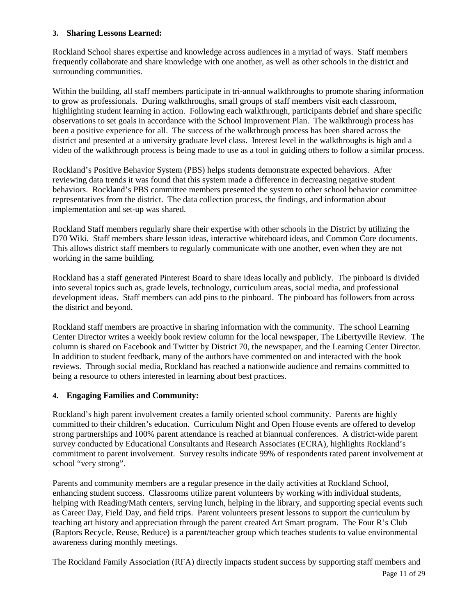#### **3. Sharing Lessons Learned:**

Rockland School shares expertise and knowledge across audiences in a myriad of ways. Staff members frequently collaborate and share knowledge with one another, as well as other schools in the district and surrounding communities.

Within the building, all staff members participate in tri-annual walkthroughs to promote sharing information to grow as professionals. During walkthroughs, small groups of staff members visit each classroom, highlighting student learning in action. Following each walkthrough, participants debrief and share specific observations to set goals in accordance with the School Improvement Plan. The walkthrough process has been a positive experience for all. The success of the walkthrough process has been shared across the district and presented at a university graduate level class. Interest level in the walkthroughs is high and a video of the walkthrough process is being made to use as a tool in guiding others to follow a similar process.

Rockland's Positive Behavior System (PBS) helps students demonstrate expected behaviors. After reviewing data trends it was found that this system made a difference in decreasing negative student behaviors. Rockland's PBS committee members presented the system to other school behavior committee representatives from the district. The data collection process, the findings, and information about implementation and set-up was shared.

Rockland Staff members regularly share their expertise with other schools in the District by utilizing the D70 Wiki. Staff members share lesson ideas, interactive whiteboard ideas, and Common Core documents. This allows district staff members to regularly communicate with one another, even when they are not working in the same building.

Rockland has a staff generated Pinterest Board to share ideas locally and publicly. The pinboard is divided into several topics such as, grade levels, technology, curriculum areas, social media, and professional development ideas. Staff members can add pins to the pinboard. The pinboard has followers from across the district and beyond.

Rockland staff members are proactive in sharing information with the community. The school Learning Center Director writes a weekly book review column for the local newspaper, The Libertyville Review. The column is shared on Facebook and Twitter by District 70, the newspaper, and the Learning Center Director. In addition to student feedback, many of the authors have commented on and interacted with the book reviews. Through social media, Rockland has reached a nationwide audience and remains committed to being a resource to others interested in learning about best practices.

#### **4. Engaging Families and Community:**

Rockland's high parent involvement creates a family oriented school community. Parents are highly committed to their children's education. Curriculum Night and Open House events are offered to develop strong partnerships and 100% parent attendance is reached at biannual conferences. A district-wide parent survey conducted by Educational Consultants and Research Associates (ECRA), highlights Rockland's commitment to parent involvement. Survey results indicate 99% of respondents rated parent involvement at school "very strong".

Parents and community members are a regular presence in the daily activities at Rockland School, enhancing student success. Classrooms utilize parent volunteers by working with individual students, helping with Reading/Math centers, serving lunch, helping in the library, and supporting special events such as Career Day, Field Day, and field trips. Parent volunteers present lessons to support the curriculum by teaching art history and appreciation through the parent created Art Smart program. The Four R's Club (Raptors Recycle, Reuse, Reduce) is a parent/teacher group which teaches students to value environmental awareness during monthly meetings.

The Rockland Family Association (RFA) directly impacts student success by supporting staff members and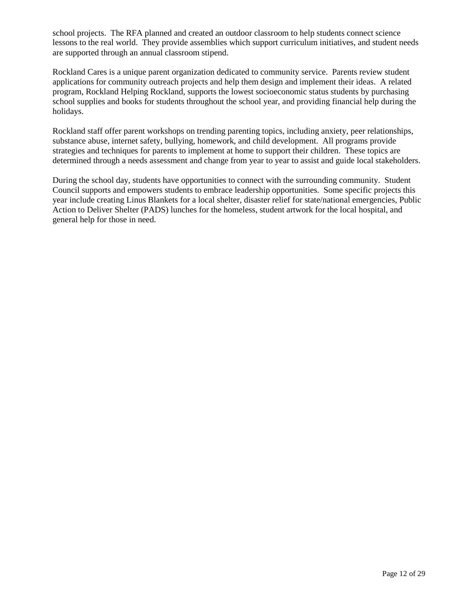school projects. The RFA planned and created an outdoor classroom to help students connect science lessons to the real world. They provide assemblies which support curriculum initiatives, and student needs are supported through an annual classroom stipend.

Rockland Cares is a unique parent organization dedicated to community service. Parents review student applications for community outreach projects and help them design and implement their ideas. A related program, Rockland Helping Rockland, supports the lowest socioeconomic status students by purchasing school supplies and books for students throughout the school year, and providing financial help during the holidays.

Rockland staff offer parent workshops on trending parenting topics, including anxiety, peer relationships, substance abuse, internet safety, bullying, homework, and child development. All programs provide strategies and techniques for parents to implement at home to support their children. These topics are determined through a needs assessment and change from year to year to assist and guide local stakeholders.

During the school day, students have opportunities to connect with the surrounding community. Student Council supports and empowers students to embrace leadership opportunities. Some specific projects this year include creating Linus Blankets for a local shelter, disaster relief for state/national emergencies, Public Action to Deliver Shelter (PADS) lunches for the homeless, student artwork for the local hospital, and general help for those in need.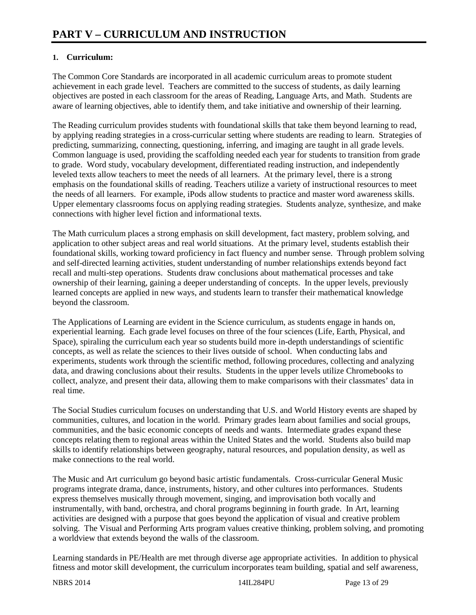#### **1. Curriculum:**

The Common Core Standards are incorporated in all academic curriculum areas to promote student achievement in each grade level. Teachers are committed to the success of students, as daily learning objectives are posted in each classroom for the areas of Reading, Language Arts, and Math. Students are aware of learning objectives, able to identify them, and take initiative and ownership of their learning.

The Reading curriculum provides students with foundational skills that take them beyond learning to read, by applying reading strategies in a cross-curricular setting where students are reading to learn. Strategies of predicting, summarizing, connecting, questioning, inferring, and imaging are taught in all grade levels. Common language is used, providing the scaffolding needed each year for students to transition from grade to grade. Word study, vocabulary development, differentiated reading instruction, and independently leveled texts allow teachers to meet the needs of all learners. At the primary level, there is a strong emphasis on the foundational skills of reading. Teachers utilize a variety of instructional resources to meet the needs of all learners. For example, iPods allow students to practice and master word awareness skills. Upper elementary classrooms focus on applying reading strategies. Students analyze, synthesize, and make connections with higher level fiction and informational texts.

The Math curriculum places a strong emphasis on skill development, fact mastery, problem solving, and application to other subject areas and real world situations. At the primary level, students establish their foundational skills, working toward proficiency in fact fluency and number sense. Through problem solving and self-directed learning activities, student understanding of number relationships extends beyond fact recall and multi-step operations. Students draw conclusions about mathematical processes and take ownership of their learning, gaining a deeper understanding of concepts. In the upper levels, previously learned concepts are applied in new ways, and students learn to transfer their mathematical knowledge beyond the classroom.

The Applications of Learning are evident in the Science curriculum, as students engage in hands on, experiential learning. Each grade level focuses on three of the four sciences (Life, Earth, Physical, and Space), spiraling the curriculum each year so students build more in-depth understandings of scientific concepts, as well as relate the sciences to their lives outside of school. When conducting labs and experiments, students work through the scientific method, following procedures, collecting and analyzing data, and drawing conclusions about their results. Students in the upper levels utilize Chromebooks to collect, analyze, and present their data, allowing them to make comparisons with their classmates' data in real time.

The Social Studies curriculum focuses on understanding that U.S. and World History events are shaped by communities, cultures, and location in the world. Primary grades learn about families and social groups, communities, and the basic economic concepts of needs and wants. Intermediate grades expand these concepts relating them to regional areas within the United States and the world. Students also build map skills to identify relationships between geography, natural resources, and population density, as well as make connections to the real world.

The Music and Art curriculum go beyond basic artistic fundamentals. Cross-curricular General Music programs integrate drama, dance, instruments, history, and other cultures into performances. Students express themselves musically through movement, singing, and improvisation both vocally and instrumentally, with band, orchestra, and choral programs beginning in fourth grade. In Art, learning activities are designed with a purpose that goes beyond the application of visual and creative problem solving. The Visual and Performing Arts program values creative thinking, problem solving, and promoting a worldview that extends beyond the walls of the classroom.

Learning standards in PE/Health are met through diverse age appropriate activities. In addition to physical fitness and motor skill development, the curriculum incorporates team building, spatial and self awareness,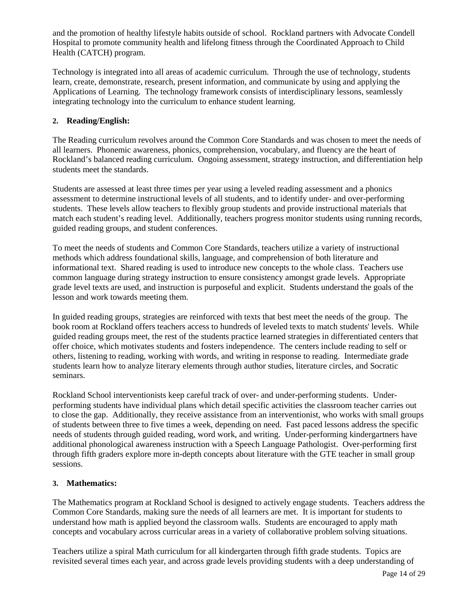and the promotion of healthy lifestyle habits outside of school. Rockland partners with Advocate Condell Hospital to promote community health and lifelong fitness through the Coordinated Approach to Child Health (CATCH) program.

Technology is integrated into all areas of academic curriculum. Through the use of technology, students learn, create, demonstrate, research, present information, and communicate by using and applying the Applications of Learning. The technology framework consists of interdisciplinary lessons, seamlessly integrating technology into the curriculum to enhance student learning.

#### **2. Reading/English:**

The Reading curriculum revolves around the Common Core Standards and was chosen to meet the needs of all learners. Phonemic awareness, phonics, comprehension, vocabulary, and fluency are the heart of Rockland's balanced reading curriculum. Ongoing assessment, strategy instruction, and differentiation help students meet the standards.

Students are assessed at least three times per year using a leveled reading assessment and a phonics assessment to determine instructional levels of all students, and to identify under- and over-performing students. These levels allow teachers to flexibly group students and provide instructional materials that match each student's reading level. Additionally, teachers progress monitor students using running records, guided reading groups, and student conferences.

To meet the needs of students and Common Core Standards, teachers utilize a variety of instructional methods which address foundational skills, language, and comprehension of both literature and informational text. Shared reading is used to introduce new concepts to the whole class. Teachers use common language during strategy instruction to ensure consistency amongst grade levels. Appropriate grade level texts are used, and instruction is purposeful and explicit. Students understand the goals of the lesson and work towards meeting them.

In guided reading groups, strategies are reinforced with texts that best meet the needs of the group. The book room at Rockland offers teachers access to hundreds of leveled texts to match students' levels. While guided reading groups meet, the rest of the students practice learned strategies in differentiated centers that offer choice, which motivates students and fosters independence. The centers include reading to self or others, listening to reading, working with words, and writing in response to reading. Intermediate grade students learn how to analyze literary elements through author studies, literature circles, and Socratic seminars.

Rockland School interventionists keep careful track of over- and under-performing students. Underperforming students have individual plans which detail specific activities the classroom teacher carries out to close the gap. Additionally, they receive assistance from an interventionist, who works with small groups of students between three to five times a week, depending on need. Fast paced lessons address the specific needs of students through guided reading, word work, and writing. Under-performing kindergartners have additional phonological awareness instruction with a Speech Language Pathologist. Over-performing first through fifth graders explore more in-depth concepts about literature with the GTE teacher in small group sessions.

#### **3. Mathematics:**

The Mathematics program at Rockland School is designed to actively engage students. Teachers address the Common Core Standards, making sure the needs of all learners are met. It is important for students to understand how math is applied beyond the classroom walls. Students are encouraged to apply math concepts and vocabulary across curricular areas in a variety of collaborative problem solving situations.

Teachers utilize a spiral Math curriculum for all kindergarten through fifth grade students. Topics are revisited several times each year, and across grade levels providing students with a deep understanding of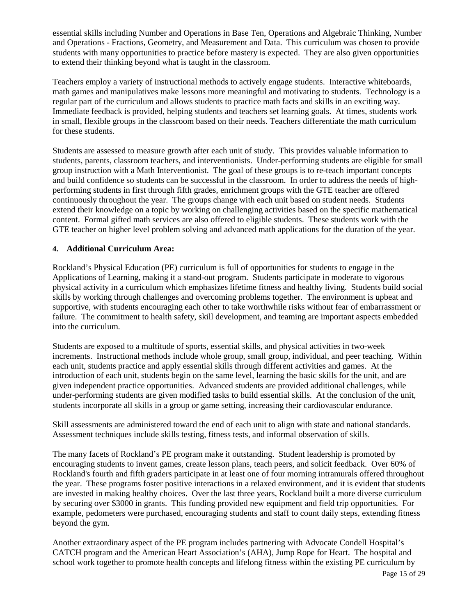essential skills including Number and Operations in Base Ten, Operations and Algebraic Thinking, Number and Operations - Fractions, Geometry, and Measurement and Data. This curriculum was chosen to provide students with many opportunities to practice before mastery is expected. They are also given opportunities to extend their thinking beyond what is taught in the classroom.

Teachers employ a variety of instructional methods to actively engage students. Interactive whiteboards, math games and manipulatives make lessons more meaningful and motivating to students. Technology is a regular part of the curriculum and allows students to practice math facts and skills in an exciting way. Immediate feedback is provided, helping students and teachers set learning goals. At times, students work in small, flexible groups in the classroom based on their needs. Teachers differentiate the math curriculum for these students.

Students are assessed to measure growth after each unit of study. This provides valuable information to students, parents, classroom teachers, and interventionists. Under-performing students are eligible for small group instruction with a Math Interventionist. The goal of these groups is to re-teach important concepts and build confidence so students can be successful in the classroom. In order to address the needs of highperforming students in first through fifth grades, enrichment groups with the GTE teacher are offered continuously throughout the year. The groups change with each unit based on student needs. Students extend their knowledge on a topic by working on challenging activities based on the specific mathematical content. Formal gifted math services are also offered to eligible students. These students work with the GTE teacher on higher level problem solving and advanced math applications for the duration of the year.

#### **4. Additional Curriculum Area:**

Rockland's Physical Education (PE) curriculum is full of opportunities for students to engage in the Applications of Learning, making it a stand-out program. Students participate in moderate to vigorous physical activity in a curriculum which emphasizes lifetime fitness and healthy living. Students build social skills by working through challenges and overcoming problems together. The environment is upbeat and supportive, with students encouraging each other to take worthwhile risks without fear of embarrassment or failure. The commitment to health safety, skill development, and teaming are important aspects embedded into the curriculum.

Students are exposed to a multitude of sports, essential skills, and physical activities in two-week increments. Instructional methods include whole group, small group, individual, and peer teaching. Within each unit, students practice and apply essential skills through different activities and games. At the introduction of each unit, students begin on the same level, learning the basic skills for the unit, and are given independent practice opportunities. Advanced students are provided additional challenges, while under-performing students are given modified tasks to build essential skills. At the conclusion of the unit, students incorporate all skills in a group or game setting, increasing their cardiovascular endurance.

Skill assessments are administered toward the end of each unit to align with state and national standards. Assessment techniques include skills testing, fitness tests, and informal observation of skills.

The many facets of Rockland's PE program make it outstanding. Student leadership is promoted by encouraging students to invent games, create lesson plans, teach peers, and solicit feedback. Over 60% of Rockland's fourth and fifth graders participate in at least one of four morning intramurals offered throughout the year. These programs foster positive interactions in a relaxed environment, and it is evident that students are invested in making healthy choices. Over the last three years, Rockland built a more diverse curriculum by securing over \$3000 in grants. This funding provided new equipment and field trip opportunities. For example, pedometers were purchased, encouraging students and staff to count daily steps, extending fitness beyond the gym.

Another extraordinary aspect of the PE program includes partnering with Advocate Condell Hospital's CATCH program and the American Heart Association's (AHA), Jump Rope for Heart. The hospital and school work together to promote health concepts and lifelong fitness within the existing PE curriculum by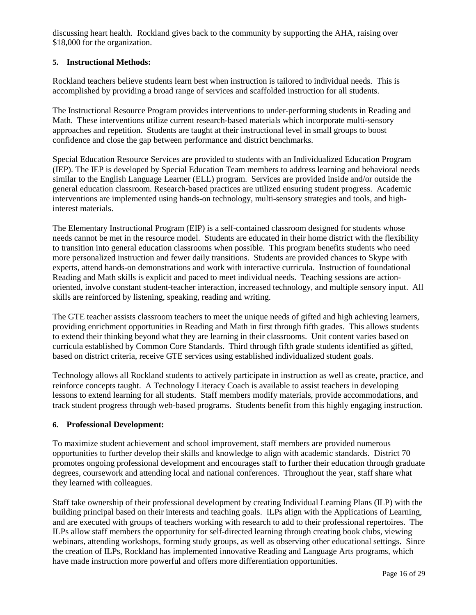discussing heart health. Rockland gives back to the community by supporting the AHA, raising over \$18,000 for the organization.

#### **5. Instructional Methods:**

Rockland teachers believe students learn best when instruction is tailored to individual needs. This is accomplished by providing a broad range of services and scaffolded instruction for all students.

The Instructional Resource Program provides interventions to under-performing students in Reading and Math. These interventions utilize current research-based materials which incorporate multi-sensory approaches and repetition. Students are taught at their instructional level in small groups to boost confidence and close the gap between performance and district benchmarks.

Special Education Resource Services are provided to students with an Individualized Education Program (IEP). The IEP is developed by Special Education Team members to address learning and behavioral needs similar to the English Language Learner (ELL) program. Services are provided inside and/or outside the general education classroom. Research-based practices are utilized ensuring student progress. Academic interventions are implemented using hands-on technology, multi-sensory strategies and tools, and highinterest materials.

The Elementary Instructional Program (EIP) is a self-contained classroom designed for students whose needs cannot be met in the resource model. Students are educated in their home district with the flexibility to transition into general education classrooms when possible. This program benefits students who need more personalized instruction and fewer daily transitions. Students are provided chances to Skype with experts, attend hands-on demonstrations and work with interactive curricula. Instruction of foundational Reading and Math skills is explicit and paced to meet individual needs. Teaching sessions are actionoriented, involve constant student-teacher interaction, increased technology, and multiple sensory input. All skills are reinforced by listening, speaking, reading and writing.

The GTE teacher assists classroom teachers to meet the unique needs of gifted and high achieving learners, providing enrichment opportunities in Reading and Math in first through fifth grades. This allows students to extend their thinking beyond what they are learning in their classrooms. Unit content varies based on curricula established by Common Core Standards. Third through fifth grade students identified as gifted, based on district criteria, receive GTE services using established individualized student goals.

Technology allows all Rockland students to actively participate in instruction as well as create, practice, and reinforce concepts taught. A Technology Literacy Coach is available to assist teachers in developing lessons to extend learning for all students. Staff members modify materials, provide accommodations, and track student progress through web-based programs. Students benefit from this highly engaging instruction.

#### **6. Professional Development:**

To maximize student achievement and school improvement, staff members are provided numerous opportunities to further develop their skills and knowledge to align with academic standards. District 70 promotes ongoing professional development and encourages staff to further their education through graduate degrees, coursework and attending local and national conferences. Throughout the year, staff share what they learned with colleagues.

Staff take ownership of their professional development by creating Individual Learning Plans (ILP) with the building principal based on their interests and teaching goals. ILPs align with the Applications of Learning, and are executed with groups of teachers working with research to add to their professional repertoires. The ILPs allow staff members the opportunity for self-directed learning through creating book clubs, viewing webinars, attending workshops, forming study groups, as well as observing other educational settings. Since the creation of ILPs, Rockland has implemented innovative Reading and Language Arts programs, which have made instruction more powerful and offers more differentiation opportunities.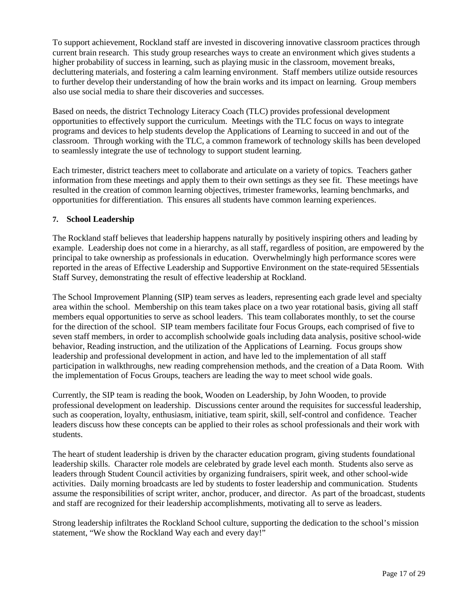To support achievement, Rockland staff are invested in discovering innovative classroom practices through current brain research. This study group researches ways to create an environment which gives students a higher probability of success in learning, such as playing music in the classroom, movement breaks, decluttering materials, and fostering a calm learning environment. Staff members utilize outside resources to further develop their understanding of how the brain works and its impact on learning. Group members also use social media to share their discoveries and successes.

Based on needs, the district Technology Literacy Coach (TLC) provides professional development opportunities to effectively support the curriculum. Meetings with the TLC focus on ways to integrate programs and devices to help students develop the Applications of Learning to succeed in and out of the classroom. Through working with the TLC, a common framework of technology skills has been developed to seamlessly integrate the use of technology to support student learning.

Each trimester, district teachers meet to collaborate and articulate on a variety of topics. Teachers gather information from these meetings and apply them to their own settings as they see fit. These meetings have resulted in the creation of common learning objectives, trimester frameworks, learning benchmarks, and opportunities for differentiation. This ensures all students have common learning experiences.

#### **7. School Leadership**

The Rockland staff believes that leadership happens naturally by positively inspiring others and leading by example. Leadership does not come in a hierarchy, as all staff, regardless of position, are empowered by the principal to take ownership as professionals in education. Overwhelmingly high performance scores were reported in the areas of Effective Leadership and Supportive Environment on the state-required 5Essentials Staff Survey, demonstrating the result of effective leadership at Rockland.

The School Improvement Planning (SIP) team serves as leaders, representing each grade level and specialty area within the school. Membership on this team takes place on a two year rotational basis, giving all staff members equal opportunities to serve as school leaders. This team collaborates monthly, to set the course for the direction of the school. SIP team members facilitate four Focus Groups, each comprised of five to seven staff members, in order to accomplish schoolwide goals including data analysis, positive school-wide behavior, Reading instruction, and the utilization of the Applications of Learning. Focus groups show leadership and professional development in action, and have led to the implementation of all staff participation in walkthroughs, new reading comprehension methods, and the creation of a Data Room. With the implementation of Focus Groups, teachers are leading the way to meet school wide goals.

Currently, the SIP team is reading the book, Wooden on Leadership, by John Wooden, to provide professional development on leadership. Discussions center around the requisites for successful leadership, such as cooperation, loyalty, enthusiasm, initiative, team spirit, skill, self-control and confidence. Teacher leaders discuss how these concepts can be applied to their roles as school professionals and their work with students.

The heart of student leadership is driven by the character education program, giving students foundational leadership skills. Character role models are celebrated by grade level each month. Students also serve as leaders through Student Council activities by organizing fundraisers, spirit week, and other school-wide activities. Daily morning broadcasts are led by students to foster leadership and communication. Students assume the responsibilities of script writer, anchor, producer, and director. As part of the broadcast, students and staff are recognized for their leadership accomplishments, motivating all to serve as leaders.

Strong leadership infiltrates the Rockland School culture, supporting the dedication to the school's mission statement, "We show the Rockland Way each and every day!"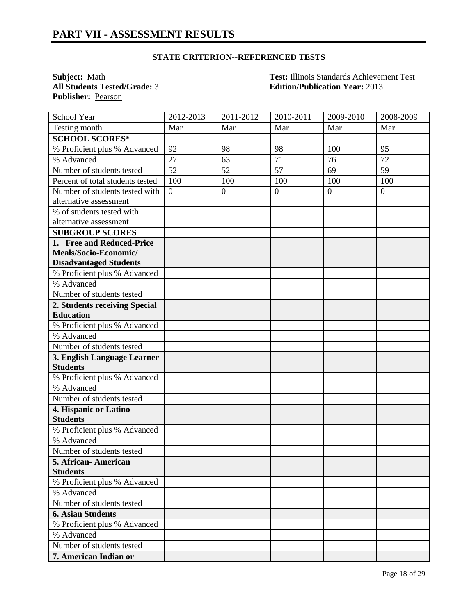**Publisher:** Pearson

**Subject:** <u>Math **Test: Illinois Standards Achievement Test**<br> **All Students Tested/Grade:** 3 **Edition/Publication Year:** 2013</u> **All Students Tested/Grade:** 3 **Edition/Publication Year:** 2013

| School Year                      | 2012-2013      | $2011 - 2012$  | 2010-2011       | 2009-2010      | 2008-2009      |
|----------------------------------|----------------|----------------|-----------------|----------------|----------------|
| Testing month                    | Mar            | Mar            | Mar             | Mar            | Mar            |
| <b>SCHOOL SCORES*</b>            |                |                |                 |                |                |
| % Proficient plus % Advanced     | 92             | 98             | 98              | 100            | 95             |
| % Advanced                       | 27             | 63             | $\overline{71}$ | 76             | 72             |
| Number of students tested        | 52             | 52             | 57              | 69             | 59             |
| Percent of total students tested | 100            | 100            | 100             | 100            | 100            |
| Number of students tested with   | $\overline{0}$ | $\overline{0}$ | $\overline{0}$  | $\overline{0}$ | $\overline{0}$ |
| alternative assessment           |                |                |                 |                |                |
| % of students tested with        |                |                |                 |                |                |
| alternative assessment           |                |                |                 |                |                |
| <b>SUBGROUP SCORES</b>           |                |                |                 |                |                |
| 1. Free and Reduced-Price        |                |                |                 |                |                |
| Meals/Socio-Economic/            |                |                |                 |                |                |
| <b>Disadvantaged Students</b>    |                |                |                 |                |                |
| % Proficient plus % Advanced     |                |                |                 |                |                |
| $\overline{\%}$ Advanced         |                |                |                 |                |                |
| Number of students tested        |                |                |                 |                |                |
| 2. Students receiving Special    |                |                |                 |                |                |
| <b>Education</b>                 |                |                |                 |                |                |
| % Proficient plus % Advanced     |                |                |                 |                |                |
| % Advanced                       |                |                |                 |                |                |
| Number of students tested        |                |                |                 |                |                |
| 3. English Language Learner      |                |                |                 |                |                |
| <b>Students</b>                  |                |                |                 |                |                |
| % Proficient plus % Advanced     |                |                |                 |                |                |
| % Advanced                       |                |                |                 |                |                |
| Number of students tested        |                |                |                 |                |                |
| 4. Hispanic or Latino            |                |                |                 |                |                |
| <b>Students</b>                  |                |                |                 |                |                |
| % Proficient plus % Advanced     |                |                |                 |                |                |
| % Advanced                       |                |                |                 |                |                |
| Number of students tested        |                |                |                 |                |                |
| 5. African-American              |                |                |                 |                |                |
| <b>Students</b>                  |                |                |                 |                |                |
| % Proficient plus % Advanced     |                |                |                 |                |                |
| % Advanced                       |                |                |                 |                |                |
| Number of students tested        |                |                |                 |                |                |
| <b>6. Asian Students</b>         |                |                |                 |                |                |
| % Proficient plus % Advanced     |                |                |                 |                |                |
| % Advanced                       |                |                |                 |                |                |
| Number of students tested        |                |                |                 |                |                |
| 7. American Indian or            |                |                |                 |                |                |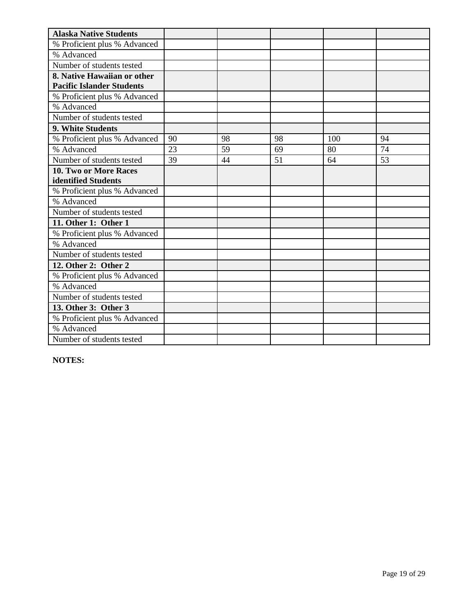| <b>Alaska Native Students</b>    |    |    |    |     |    |
|----------------------------------|----|----|----|-----|----|
| % Proficient plus % Advanced     |    |    |    |     |    |
| % Advanced                       |    |    |    |     |    |
| Number of students tested        |    |    |    |     |    |
| 8. Native Hawaiian or other      |    |    |    |     |    |
| <b>Pacific Islander Students</b> |    |    |    |     |    |
| % Proficient plus % Advanced     |    |    |    |     |    |
| % Advanced                       |    |    |    |     |    |
| Number of students tested        |    |    |    |     |    |
| 9. White Students                |    |    |    |     |    |
| % Proficient plus % Advanced     | 90 | 98 | 98 | 100 | 94 |
| % Advanced                       | 23 | 59 | 69 | 80  | 74 |
| Number of students tested        | 39 | 44 | 51 | 64  | 53 |
| 10. Two or More Races            |    |    |    |     |    |
| identified Students              |    |    |    |     |    |
| % Proficient plus % Advanced     |    |    |    |     |    |
| % Advanced                       |    |    |    |     |    |
| Number of students tested        |    |    |    |     |    |
| 11. Other 1: Other 1             |    |    |    |     |    |
| % Proficient plus % Advanced     |    |    |    |     |    |
| % Advanced                       |    |    |    |     |    |
| Number of students tested        |    |    |    |     |    |
| 12. Other 2: Other 2             |    |    |    |     |    |
| % Proficient plus % Advanced     |    |    |    |     |    |
| % Advanced                       |    |    |    |     |    |
| Number of students tested        |    |    |    |     |    |
| 13. Other 3: Other 3             |    |    |    |     |    |
| % Proficient plus % Advanced     |    |    |    |     |    |
| % Advanced                       |    |    |    |     |    |
| Number of students tested        |    |    |    |     |    |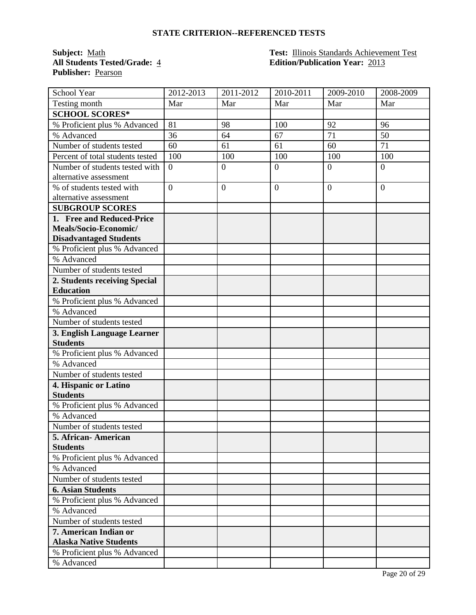**Publisher:** Pearson

**Subject:** <u>Math **Test: Illinois Standards Achievement Test**<br> **All Students Tested/Grade:** 4 **Edition/Publication Year:** 2013</u> **All Students Tested/Grade:** 4 **Edition/Publication Year:** 2013

| School Year                      | 2012-2013        | 2011-2012        | 2010-2011      | 2009-2010      | 2008-2009        |
|----------------------------------|------------------|------------------|----------------|----------------|------------------|
| Testing month                    | Mar              | Mar              | Mar            | Mar            | Mar              |
| <b>SCHOOL SCORES*</b>            |                  |                  |                |                |                  |
| % Proficient plus % Advanced     | 81               | 98               | 100            | 92             | 96               |
| % Advanced                       | 36               | 64               | 67             | 71             | 50               |
| Number of students tested        | 60               | 61               | 61             | 60             | 71               |
| Percent of total students tested | 100              | 100              | 100            | 100            | 100              |
| Number of students tested with   | $\boldsymbol{0}$ | $\boldsymbol{0}$ | $\overline{0}$ | $\theta$       | $\boldsymbol{0}$ |
| alternative assessment           |                  |                  |                |                |                  |
| % of students tested with        | $\overline{0}$   | $\overline{0}$   | $\overline{0}$ | $\overline{0}$ | $\overline{0}$   |
| alternative assessment           |                  |                  |                |                |                  |
| <b>SUBGROUP SCORES</b>           |                  |                  |                |                |                  |
| 1. Free and Reduced-Price        |                  |                  |                |                |                  |
| Meals/Socio-Economic/            |                  |                  |                |                |                  |
| <b>Disadvantaged Students</b>    |                  |                  |                |                |                  |
| % Proficient plus % Advanced     |                  |                  |                |                |                  |
| % Advanced                       |                  |                  |                |                |                  |
| Number of students tested        |                  |                  |                |                |                  |
| 2. Students receiving Special    |                  |                  |                |                |                  |
| <b>Education</b>                 |                  |                  |                |                |                  |
| % Proficient plus % Advanced     |                  |                  |                |                |                  |
| % Advanced                       |                  |                  |                |                |                  |
| Number of students tested        |                  |                  |                |                |                  |
| 3. English Language Learner      |                  |                  |                |                |                  |
| <b>Students</b>                  |                  |                  |                |                |                  |
| % Proficient plus % Advanced     |                  |                  |                |                |                  |
| % Advanced                       |                  |                  |                |                |                  |
| Number of students tested        |                  |                  |                |                |                  |
| 4. Hispanic or Latino            |                  |                  |                |                |                  |
| <b>Students</b>                  |                  |                  |                |                |                  |
| % Proficient plus % Advanced     |                  |                  |                |                |                  |
| % Advanced                       |                  |                  |                |                |                  |
| Number of students tested        |                  |                  |                |                |                  |
| 5. African- American             |                  |                  |                |                |                  |
| <b>Students</b>                  |                  |                  |                |                |                  |
| % Proficient plus % Advanced     |                  |                  |                |                |                  |
| % Advanced                       |                  |                  |                |                |                  |
| Number of students tested        |                  |                  |                |                |                  |
| <b>6. Asian Students</b>         |                  |                  |                |                |                  |
| % Proficient plus % Advanced     |                  |                  |                |                |                  |
| % Advanced                       |                  |                  |                |                |                  |
| Number of students tested        |                  |                  |                |                |                  |
| 7. American Indian or            |                  |                  |                |                |                  |
| <b>Alaska Native Students</b>    |                  |                  |                |                |                  |
| % Proficient plus % Advanced     |                  |                  |                |                |                  |
| % Advanced                       |                  |                  |                |                |                  |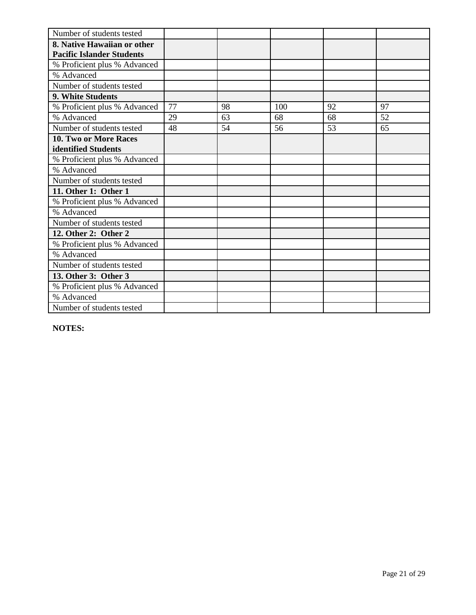| Number of students tested        |    |    |     |    |    |
|----------------------------------|----|----|-----|----|----|
| 8. Native Hawaiian or other      |    |    |     |    |    |
| <b>Pacific Islander Students</b> |    |    |     |    |    |
| % Proficient plus % Advanced     |    |    |     |    |    |
| % Advanced                       |    |    |     |    |    |
| Number of students tested        |    |    |     |    |    |
| 9. White Students                |    |    |     |    |    |
| % Proficient plus % Advanced     | 77 | 98 | 100 | 92 | 97 |
| % Advanced                       | 29 | 63 | 68  | 68 | 52 |
| Number of students tested        | 48 | 54 | 56  | 53 | 65 |
| 10. Two or More Races            |    |    |     |    |    |
| identified Students              |    |    |     |    |    |
| % Proficient plus % Advanced     |    |    |     |    |    |
| % Advanced                       |    |    |     |    |    |
| Number of students tested        |    |    |     |    |    |
| 11. Other 1: Other 1             |    |    |     |    |    |
| % Proficient plus % Advanced     |    |    |     |    |    |
| % Advanced                       |    |    |     |    |    |
| Number of students tested        |    |    |     |    |    |
| 12. Other 2: Other 2             |    |    |     |    |    |
| % Proficient plus % Advanced     |    |    |     |    |    |
| % Advanced                       |    |    |     |    |    |
| Number of students tested        |    |    |     |    |    |
| 13. Other 3: Other 3             |    |    |     |    |    |
| % Proficient plus % Advanced     |    |    |     |    |    |
| % Advanced                       |    |    |     |    |    |
| Number of students tested        |    |    |     |    |    |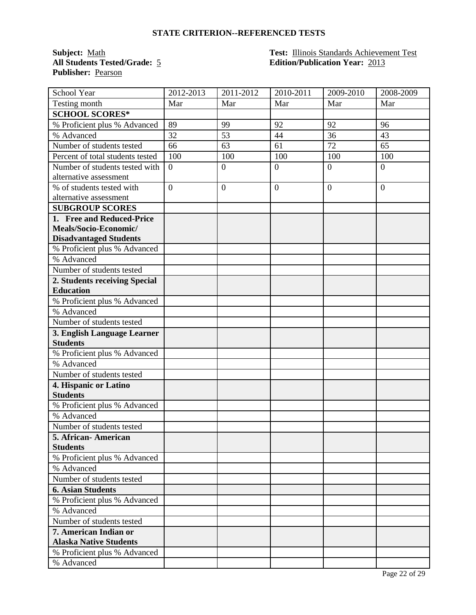**Publisher:** Pearson

**Subject:** <u>Math **Test:** Illinois Standards Achievement Test</u><br> **All Students Tested/Grade:** 5 **Edition/Publication Year:** 2013 **All Students Tested/Grade:** 5 **Edition/Publication Year:** 2013

| School Year                      | 2012-2013        | 2011-2012        | 2010-2011      | 2009-2010      | 2008-2009        |
|----------------------------------|------------------|------------------|----------------|----------------|------------------|
| Testing month                    | Mar              | Mar              | Mar            | Mar            | Mar              |
| <b>SCHOOL SCORES*</b>            |                  |                  |                |                |                  |
| % Proficient plus % Advanced     | 89               | 99               | 92             | 92             | 96               |
| % Advanced                       | 32               | 53               | 44             | 36             | 43               |
| Number of students tested        | 66               | 63               | 61             | 72             | 65               |
| Percent of total students tested | 100              | 100              | 100            | 100            | 100              |
| Number of students tested with   | $\boldsymbol{0}$ | $\boldsymbol{0}$ | $\overline{0}$ | $\theta$       | $\boldsymbol{0}$ |
| alternative assessment           |                  |                  |                |                |                  |
| % of students tested with        | $\overline{0}$   | $\overline{0}$   | $\overline{0}$ | $\overline{0}$ | $\overline{0}$   |
| alternative assessment           |                  |                  |                |                |                  |
| <b>SUBGROUP SCORES</b>           |                  |                  |                |                |                  |
| 1. Free and Reduced-Price        |                  |                  |                |                |                  |
| Meals/Socio-Economic/            |                  |                  |                |                |                  |
| <b>Disadvantaged Students</b>    |                  |                  |                |                |                  |
| % Proficient plus % Advanced     |                  |                  |                |                |                  |
| % Advanced                       |                  |                  |                |                |                  |
| Number of students tested        |                  |                  |                |                |                  |
| 2. Students receiving Special    |                  |                  |                |                |                  |
| <b>Education</b>                 |                  |                  |                |                |                  |
| % Proficient plus % Advanced     |                  |                  |                |                |                  |
| % Advanced                       |                  |                  |                |                |                  |
| Number of students tested        |                  |                  |                |                |                  |
| 3. English Language Learner      |                  |                  |                |                |                  |
| <b>Students</b>                  |                  |                  |                |                |                  |
| % Proficient plus % Advanced     |                  |                  |                |                |                  |
| % Advanced                       |                  |                  |                |                |                  |
| Number of students tested        |                  |                  |                |                |                  |
| 4. Hispanic or Latino            |                  |                  |                |                |                  |
| <b>Students</b>                  |                  |                  |                |                |                  |
| % Proficient plus % Advanced     |                  |                  |                |                |                  |
| % Advanced                       |                  |                  |                |                |                  |
| Number of students tested        |                  |                  |                |                |                  |
| 5. African- American             |                  |                  |                |                |                  |
| <b>Students</b>                  |                  |                  |                |                |                  |
| % Proficient plus % Advanced     |                  |                  |                |                |                  |
| % Advanced                       |                  |                  |                |                |                  |
| Number of students tested        |                  |                  |                |                |                  |
| <b>6. Asian Students</b>         |                  |                  |                |                |                  |
| % Proficient plus % Advanced     |                  |                  |                |                |                  |
| % Advanced                       |                  |                  |                |                |                  |
| Number of students tested        |                  |                  |                |                |                  |
| 7. American Indian or            |                  |                  |                |                |                  |
| <b>Alaska Native Students</b>    |                  |                  |                |                |                  |
| % Proficient plus % Advanced     |                  |                  |                |                |                  |
| % Advanced                       |                  |                  |                |                |                  |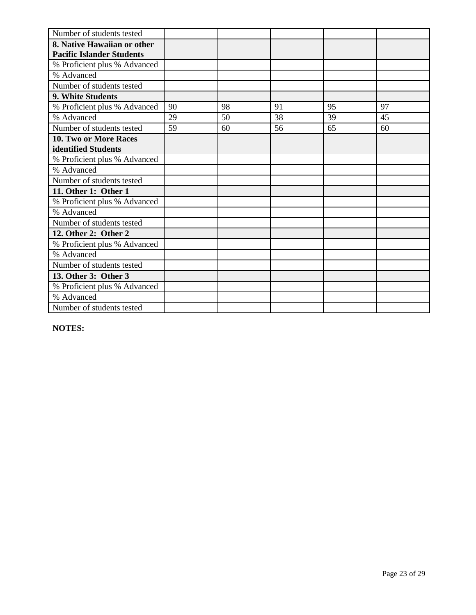| Number of students tested        |    |    |    |    |    |
|----------------------------------|----|----|----|----|----|
| 8. Native Hawaiian or other      |    |    |    |    |    |
| <b>Pacific Islander Students</b> |    |    |    |    |    |
| % Proficient plus % Advanced     |    |    |    |    |    |
| % Advanced                       |    |    |    |    |    |
| Number of students tested        |    |    |    |    |    |
| 9. White Students                |    |    |    |    |    |
| % Proficient plus % Advanced     | 90 | 98 | 91 | 95 | 97 |
| % Advanced                       | 29 | 50 | 38 | 39 | 45 |
| Number of students tested        | 59 | 60 | 56 | 65 | 60 |
| 10. Two or More Races            |    |    |    |    |    |
| identified Students              |    |    |    |    |    |
| % Proficient plus % Advanced     |    |    |    |    |    |
| % Advanced                       |    |    |    |    |    |
| Number of students tested        |    |    |    |    |    |
| 11. Other 1: Other 1             |    |    |    |    |    |
| % Proficient plus % Advanced     |    |    |    |    |    |
| % Advanced                       |    |    |    |    |    |
| Number of students tested        |    |    |    |    |    |
| 12. Other 2: Other 2             |    |    |    |    |    |
| % Proficient plus % Advanced     |    |    |    |    |    |
| % Advanced                       |    |    |    |    |    |
| Number of students tested        |    |    |    |    |    |
| 13. Other 3: Other 3             |    |    |    |    |    |
| % Proficient plus % Advanced     |    |    |    |    |    |
| % Advanced                       |    |    |    |    |    |
| Number of students tested        |    |    |    |    |    |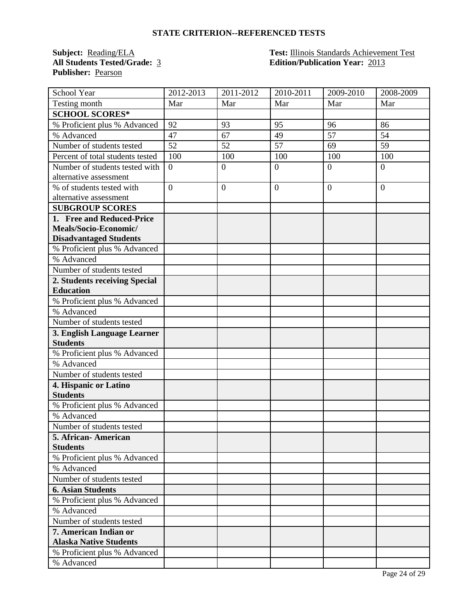**Publisher:** Pearson

**Subject: Reading/ELA Test: Illinois Standards Achievement Test**<br>**All Students Tested/Grade:** <u>3</u> **Test: Edition/Publication Year:** 2013 **All Students Tested/Grade:** 3 **Edition/Publication Year:** 2013

| School Year                      | 2012-2013      | $\overline{20}11 - 2012$ | 2010-2011      | 2009-2010      | 2008-2009      |
|----------------------------------|----------------|--------------------------|----------------|----------------|----------------|
| Testing month                    | Mar            | Mar                      | Mar            | Mar            | Mar            |
| <b>SCHOOL SCORES*</b>            |                |                          |                |                |                |
| % Proficient plus % Advanced     | 92             | 93                       | 95             | 96             | 86             |
| % Advanced                       | 47             | 67                       | 49             | 57             | 54             |
| Number of students tested        | 52             | 52                       | 57             | 69             | 59             |
| Percent of total students tested | 100            | 100                      | 100            | 100            | 100            |
| Number of students tested with   | $\overline{0}$ | $\boldsymbol{0}$         | $\overline{0}$ | $\overline{0}$ | $\overline{0}$ |
| alternative assessment           |                |                          |                |                |                |
| % of students tested with        | $\overline{0}$ | $\overline{0}$           | $\mathbf{0}$   | $\overline{0}$ | $\theta$       |
| alternative assessment           |                |                          |                |                |                |
| <b>SUBGROUP SCORES</b>           |                |                          |                |                |                |
| 1. Free and Reduced-Price        |                |                          |                |                |                |
| Meals/Socio-Economic/            |                |                          |                |                |                |
| <b>Disadvantaged Students</b>    |                |                          |                |                |                |
| % Proficient plus % Advanced     |                |                          |                |                |                |
| % Advanced                       |                |                          |                |                |                |
| Number of students tested        |                |                          |                |                |                |
| 2. Students receiving Special    |                |                          |                |                |                |
| <b>Education</b>                 |                |                          |                |                |                |
| % Proficient plus % Advanced     |                |                          |                |                |                |
| % Advanced                       |                |                          |                |                |                |
| Number of students tested        |                |                          |                |                |                |
| 3. English Language Learner      |                |                          |                |                |                |
| <b>Students</b>                  |                |                          |                |                |                |
| % Proficient plus % Advanced     |                |                          |                |                |                |
| % Advanced                       |                |                          |                |                |                |
| Number of students tested        |                |                          |                |                |                |
| 4. Hispanic or Latino            |                |                          |                |                |                |
| <b>Students</b>                  |                |                          |                |                |                |
| % Proficient plus % Advanced     |                |                          |                |                |                |
| % Advanced                       |                |                          |                |                |                |
| Number of students tested        |                |                          |                |                |                |
| 5. African- American             |                |                          |                |                |                |
| <b>Students</b>                  |                |                          |                |                |                |
| % Proficient plus % Advanced     |                |                          |                |                |                |
| % Advanced                       |                |                          |                |                |                |
| Number of students tested        |                |                          |                |                |                |
| <b>6. Asian Students</b>         |                |                          |                |                |                |
| % Proficient plus % Advanced     |                |                          |                |                |                |
| % Advanced                       |                |                          |                |                |                |
| Number of students tested        |                |                          |                |                |                |
| 7. American Indian or            |                |                          |                |                |                |
| <b>Alaska Native Students</b>    |                |                          |                |                |                |
| % Proficient plus % Advanced     |                |                          |                |                |                |
| % Advanced                       |                |                          |                |                |                |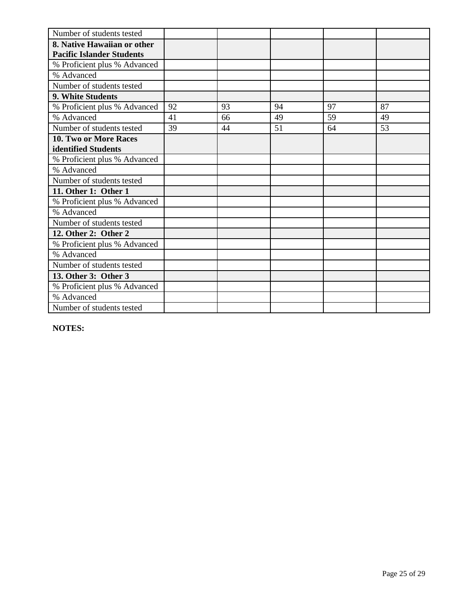| Number of students tested        |    |    |    |    |    |
|----------------------------------|----|----|----|----|----|
| 8. Native Hawaiian or other      |    |    |    |    |    |
| <b>Pacific Islander Students</b> |    |    |    |    |    |
| % Proficient plus % Advanced     |    |    |    |    |    |
| % Advanced                       |    |    |    |    |    |
| Number of students tested        |    |    |    |    |    |
| 9. White Students                |    |    |    |    |    |
| % Proficient plus % Advanced     | 92 | 93 | 94 | 97 | 87 |
| % Advanced                       | 41 | 66 | 49 | 59 | 49 |
| Number of students tested        | 39 | 44 | 51 | 64 | 53 |
| 10. Two or More Races            |    |    |    |    |    |
| identified Students              |    |    |    |    |    |
| % Proficient plus % Advanced     |    |    |    |    |    |
| % Advanced                       |    |    |    |    |    |
| Number of students tested        |    |    |    |    |    |
| 11. Other 1: Other 1             |    |    |    |    |    |
| % Proficient plus % Advanced     |    |    |    |    |    |
| % Advanced                       |    |    |    |    |    |
| Number of students tested        |    |    |    |    |    |
| 12. Other 2: Other 2             |    |    |    |    |    |
| % Proficient plus % Advanced     |    |    |    |    |    |
| % Advanced                       |    |    |    |    |    |
| Number of students tested        |    |    |    |    |    |
| 13. Other 3: Other 3             |    |    |    |    |    |
| % Proficient plus % Advanced     |    |    |    |    |    |
| % Advanced                       |    |    |    |    |    |
| Number of students tested        |    |    |    |    |    |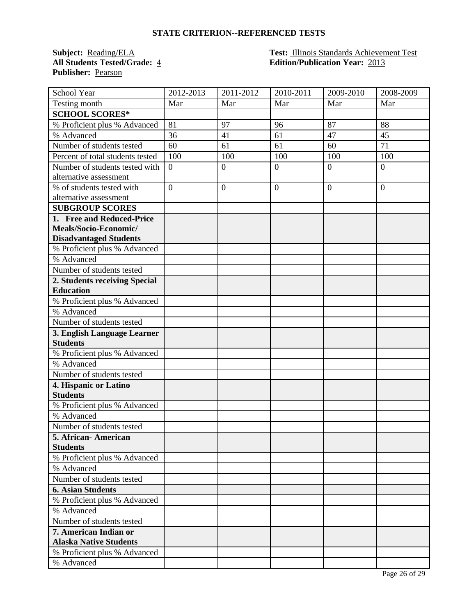**Publisher:** Pearson

**Subject:** Reading/ELA **Test:** Illinois Standards Achievement Test **All Students Tested/Grade:** 4 **Edition/Publication Year:** 2013

| School Year                      | 2012-2013      | $\overline{20}11 - 2012$ | 2010-2011      | 2009-2010      | 2008-2009      |
|----------------------------------|----------------|--------------------------|----------------|----------------|----------------|
| Testing month                    | Mar            | Mar                      | Mar            | Mar            | Mar            |
| <b>SCHOOL SCORES*</b>            |                |                          |                |                |                |
| % Proficient plus % Advanced     | 81             | 97                       | 96             | 87             | 88             |
| % Advanced                       | 36             | 41                       | 61             | 47             | 45             |
| Number of students tested        | 60             | 61                       | 61             | 60             | 71             |
| Percent of total students tested | 100            | 100                      | 100            | 100            | 100            |
| Number of students tested with   | $\overline{0}$ | $\boldsymbol{0}$         | $\overline{0}$ | $\overline{0}$ | $\overline{0}$ |
| alternative assessment           |                |                          |                |                |                |
| % of students tested with        | $\overline{0}$ | $\overline{0}$           | $\mathbf{0}$   | $\overline{0}$ | $\theta$       |
| alternative assessment           |                |                          |                |                |                |
| <b>SUBGROUP SCORES</b>           |                |                          |                |                |                |
| 1. Free and Reduced-Price        |                |                          |                |                |                |
| Meals/Socio-Economic/            |                |                          |                |                |                |
| <b>Disadvantaged Students</b>    |                |                          |                |                |                |
| % Proficient plus % Advanced     |                |                          |                |                |                |
| % Advanced                       |                |                          |                |                |                |
| Number of students tested        |                |                          |                |                |                |
| 2. Students receiving Special    |                |                          |                |                |                |
| <b>Education</b>                 |                |                          |                |                |                |
| % Proficient plus % Advanced     |                |                          |                |                |                |
| % Advanced                       |                |                          |                |                |                |
| Number of students tested        |                |                          |                |                |                |
| 3. English Language Learner      |                |                          |                |                |                |
| <b>Students</b>                  |                |                          |                |                |                |
| % Proficient plus % Advanced     |                |                          |                |                |                |
| % Advanced                       |                |                          |                |                |                |
| Number of students tested        |                |                          |                |                |                |
| 4. Hispanic or Latino            |                |                          |                |                |                |
| <b>Students</b>                  |                |                          |                |                |                |
| % Proficient plus % Advanced     |                |                          |                |                |                |
| % Advanced                       |                |                          |                |                |                |
| Number of students tested        |                |                          |                |                |                |
| 5. African- American             |                |                          |                |                |                |
| <b>Students</b>                  |                |                          |                |                |                |
| % Proficient plus % Advanced     |                |                          |                |                |                |
| % Advanced                       |                |                          |                |                |                |
| Number of students tested        |                |                          |                |                |                |
| <b>6. Asian Students</b>         |                |                          |                |                |                |
| % Proficient plus % Advanced     |                |                          |                |                |                |
| % Advanced                       |                |                          |                |                |                |
| Number of students tested        |                |                          |                |                |                |
| 7. American Indian or            |                |                          |                |                |                |
| <b>Alaska Native Students</b>    |                |                          |                |                |                |
| % Proficient plus % Advanced     |                |                          |                |                |                |
| % Advanced                       |                |                          |                |                |                |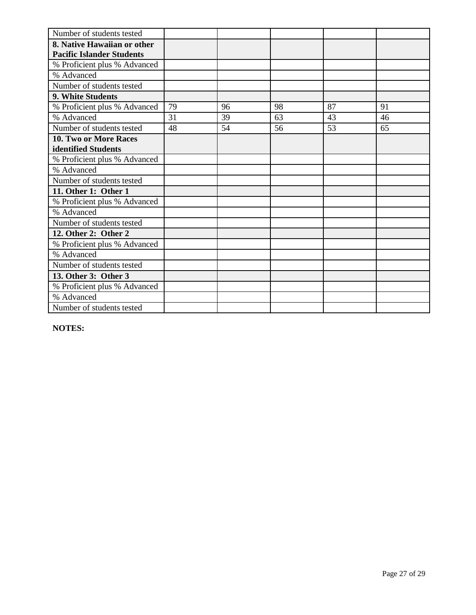| Number of students tested        |    |    |    |    |    |
|----------------------------------|----|----|----|----|----|
| 8. Native Hawaiian or other      |    |    |    |    |    |
| <b>Pacific Islander Students</b> |    |    |    |    |    |
| % Proficient plus % Advanced     |    |    |    |    |    |
| % Advanced                       |    |    |    |    |    |
| Number of students tested        |    |    |    |    |    |
| 9. White Students                |    |    |    |    |    |
| % Proficient plus % Advanced     | 79 | 96 | 98 | 87 | 91 |
| % Advanced                       | 31 | 39 | 63 | 43 | 46 |
| Number of students tested        | 48 | 54 | 56 | 53 | 65 |
| <b>10. Two or More Races</b>     |    |    |    |    |    |
| identified Students              |    |    |    |    |    |
| % Proficient plus % Advanced     |    |    |    |    |    |
| % Advanced                       |    |    |    |    |    |
| Number of students tested        |    |    |    |    |    |
| 11. Other 1: Other 1             |    |    |    |    |    |
| % Proficient plus % Advanced     |    |    |    |    |    |
| % Advanced                       |    |    |    |    |    |
| Number of students tested        |    |    |    |    |    |
| 12. Other 2: Other 2             |    |    |    |    |    |
| % Proficient plus % Advanced     |    |    |    |    |    |
| % Advanced                       |    |    |    |    |    |
| Number of students tested        |    |    |    |    |    |
| 13. Other 3: Other 3             |    |    |    |    |    |
| % Proficient plus % Advanced     |    |    |    |    |    |
| % Advanced                       |    |    |    |    |    |
| Number of students tested        |    |    |    |    |    |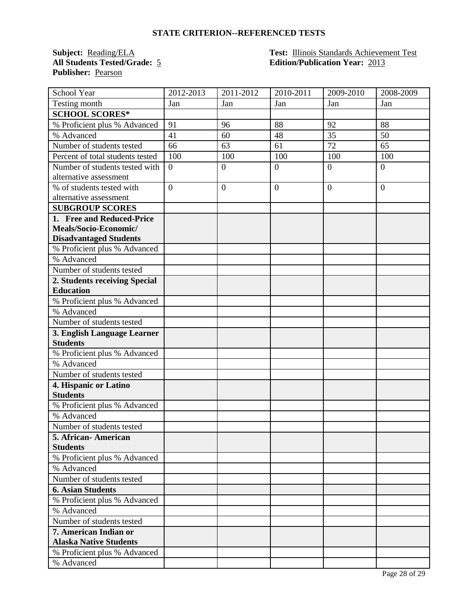**Publisher:** Pearson

### **Subject: Reading/ELA Test: Illinois Standards Achievement Test**<br>**All Students Tested/Grade:** 5 **Edition/Publication Year:** 2013 **All Students Tested/Grade:** 5 **Edition/Publication Year:** 2013

| School Year                      | 2012-2013      | 2011-2012      | 2010-2011    | 2009-2010      | 2008-2009      |
|----------------------------------|----------------|----------------|--------------|----------------|----------------|
| Testing month                    | Jan            | Jan            | Jan          | Jan            | Jan            |
| <b>SCHOOL SCORES*</b>            |                |                |              |                |                |
| % Proficient plus % Advanced     | 91             | 96             | 88           | 92             | 88             |
| % Advanced                       | 41             | 60             | 48           | 35             | 50             |
| Number of students tested        | 66             | 63             | 61           | 72             | 65             |
| Percent of total students tested | 100            | 100            | 100          | 100            | 100            |
| Number of students tested with   | $\overline{0}$ | $\overline{0}$ | $\mathbf{0}$ | $\overline{0}$ | $\overline{0}$ |
| alternative assessment           |                |                |              |                |                |
| % of students tested with        | $\overline{0}$ | $\overline{0}$ | $\mathbf{0}$ | $\overline{0}$ | $\theta$       |
| alternative assessment           |                |                |              |                |                |
| <b>SUBGROUP SCORES</b>           |                |                |              |                |                |
| 1. Free and Reduced-Price        |                |                |              |                |                |
| Meals/Socio-Economic/            |                |                |              |                |                |
| <b>Disadvantaged Students</b>    |                |                |              |                |                |
| % Proficient plus % Advanced     |                |                |              |                |                |
| % Advanced                       |                |                |              |                |                |
| Number of students tested        |                |                |              |                |                |
| 2. Students receiving Special    |                |                |              |                |                |
| <b>Education</b>                 |                |                |              |                |                |
| % Proficient plus % Advanced     |                |                |              |                |                |
| % Advanced                       |                |                |              |                |                |
| Number of students tested        |                |                |              |                |                |
| 3. English Language Learner      |                |                |              |                |                |
| <b>Students</b>                  |                |                |              |                |                |
| % Proficient plus % Advanced     |                |                |              |                |                |
| % Advanced                       |                |                |              |                |                |
| Number of students tested        |                |                |              |                |                |
| 4. Hispanic or Latino            |                |                |              |                |                |
| <b>Students</b>                  |                |                |              |                |                |
| % Proficient plus % Advanced     |                |                |              |                |                |
| % Advanced                       |                |                |              |                |                |
| Number of students tested        |                |                |              |                |                |
| 5. African- American             |                |                |              |                |                |
| <b>Students</b>                  |                |                |              |                |                |
| % Proficient plus % Advanced     |                |                |              |                |                |
| % Advanced                       |                |                |              |                |                |
| Number of students tested        |                |                |              |                |                |
| <b>6. Asian Students</b>         |                |                |              |                |                |
| % Proficient plus % Advanced     |                |                |              |                |                |
| % Advanced                       |                |                |              |                |                |
| Number of students tested        |                |                |              |                |                |
| 7. American Indian or            |                |                |              |                |                |
| <b>Alaska Native Students</b>    |                |                |              |                |                |
| % Proficient plus % Advanced     |                |                |              |                |                |
| % Advanced                       |                |                |              |                |                |